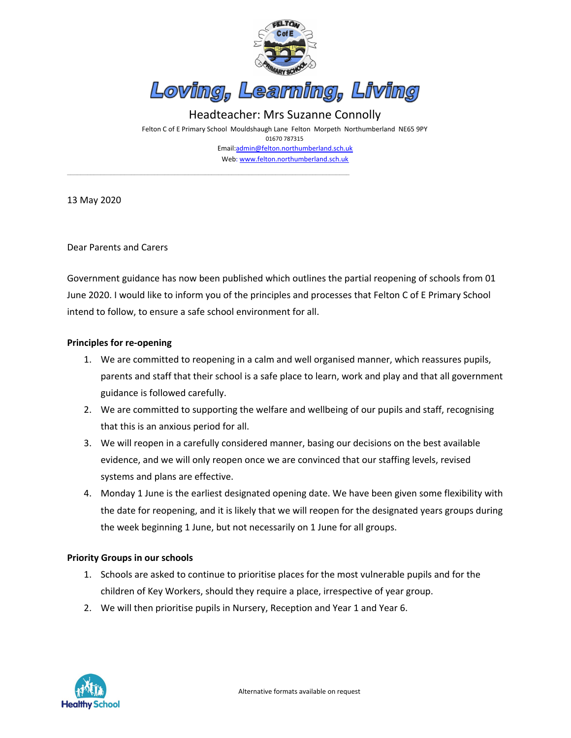

#### Headteacher: Mrs Suzanne Connolly Felton C of E Primary School Mouldshaugh Lane Felton Morpeth Northumberland NE65 9PY 01670 787315 Email:[admin@felton.northumberland.sch.uk](mailto:admin@felton.northumberland.sch.uk) Web: www.felton.northumberland.sch.uk

 $\overline{\phantom{a}}$  , and the contribution of the contribution of the contribution of the contribution of the contribution of the contribution of the contribution of the contribution of the contribution of the contribution of the

13 May 2020

Dear Parents and Carers

Government guidance has now been published which outlines the partial reopening of schools from 01 June 2020. I would like to inform you of the principles and processes that Felton C of E Primary School intend to follow, to ensure a safe school environment for all.

#### **Principles for re-opening**

- 1. We are committed to reopening in a calm and well organised manner, which reassures pupils, parents and staff that their school is a safe place to learn, work and play and that all government guidance is followed carefully.
- 2. We are committed to supporting the welfare and wellbeing of our pupils and staff, recognising that this is an anxious period for all.
- 3. We will reopen in a carefully considered manner, basing our decisions on the best available evidence, and we will only reopen once we are convinced that our staffing levels, revised systems and plans are effective.
- 4. Monday 1 June is the earliest designated opening date. We have been given some flexibility with the date for reopening, and it is likely that we will reopen for the designated years groups during the week beginning 1 June, but not necessarily on 1 June for all groups.

## **Priority Groups in our schools**

- 1. Schools are asked to continue to prioritise places for the most vulnerable pupils and for the children of Key Workers, should they require a place, irrespective of year group.
- 2. We will then prioritise pupils in Nursery, Reception and Year 1 and Year 6.

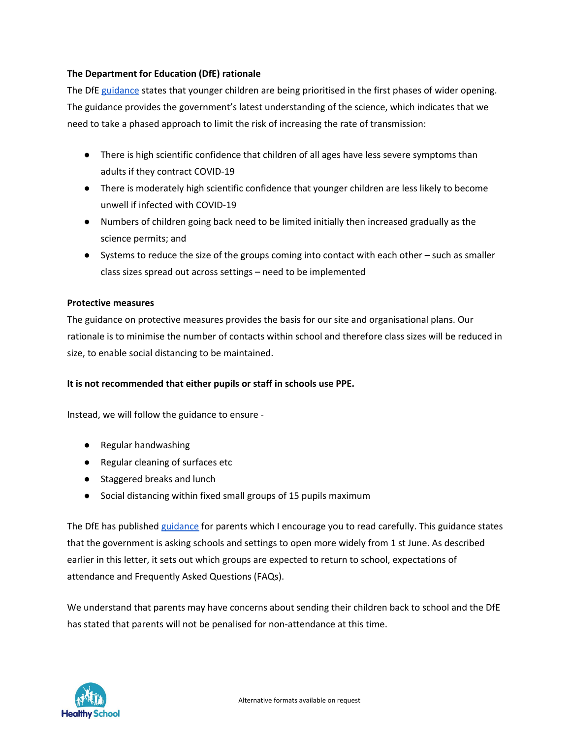# **The Department for Education (DfE) rationale**

The Df[E](https://www.gov.uk/government/publications/actions-for-educational-and-childcare-settings-to-prepare-for-wider-opening-from-1-june-2020/actions-for-education-and-childcare-settings-to-prepare-for-wider-opening-from-1-june-2020) [guidance](https://www.gov.uk/government/publications/actions-for-educational-and-childcare-settings-to-prepare-for-wider-opening-from-1-june-2020/actions-for-education-and-childcare-settings-to-prepare-for-wider-opening-from-1-june-2020) states that younger children are being prioritised in the first phases of wider opening. The guidance provides the government's latest understanding of the science, which indicates that we need to take a phased approach to limit the risk of increasing the rate of transmission:

- There is high scientific confidence that children of all ages have less severe symptoms than adults if they contract COVID-19
- There is moderately high scientific confidence that younger children are less likely to become unwell if infected with COVID-19
- Numbers of children going back need to be limited initially then increased gradually as the science permits; and
- Systems to reduce the size of the groups coming into contact with each other such as smaller class sizes spread out across settings – need to be implemented

## **Protective measures**

The guidance on protective measures provides the basis for our site and organisational plans. Our rationale is to minimise the number of contacts within school and therefore class sizes will be reduced in size, to enable social distancing to be maintained.

## **It is not recommended that either pupils or staff in schools use PPE.**

Instead, we will follow the guidance to ensure -

- Regular handwashing
- Regular cleaning of surfaces etc
- Staggered breaks and lunch
- Social distancing within fixed small groups of 15 pupils maximum

The DfE has publishe[d](https://www.gov.uk/government/publications/closure-of-educational-settings-information-for-parents-and-carers) [guidance](https://www.gov.uk/government/publications/closure-of-educational-settings-information-for-parents-and-carers) for parents which I encourage you to read carefully. This guidance states that the government is asking schools and settings to open more widely from 1 st June. As described earlier in this letter, it sets out which groups are expected to return to school, expectations of attendance and Frequently Asked Questions (FAQs).

We understand that parents may have concerns about sending their children back to school and the DfE has stated that parents will not be penalised for non-attendance at this time.